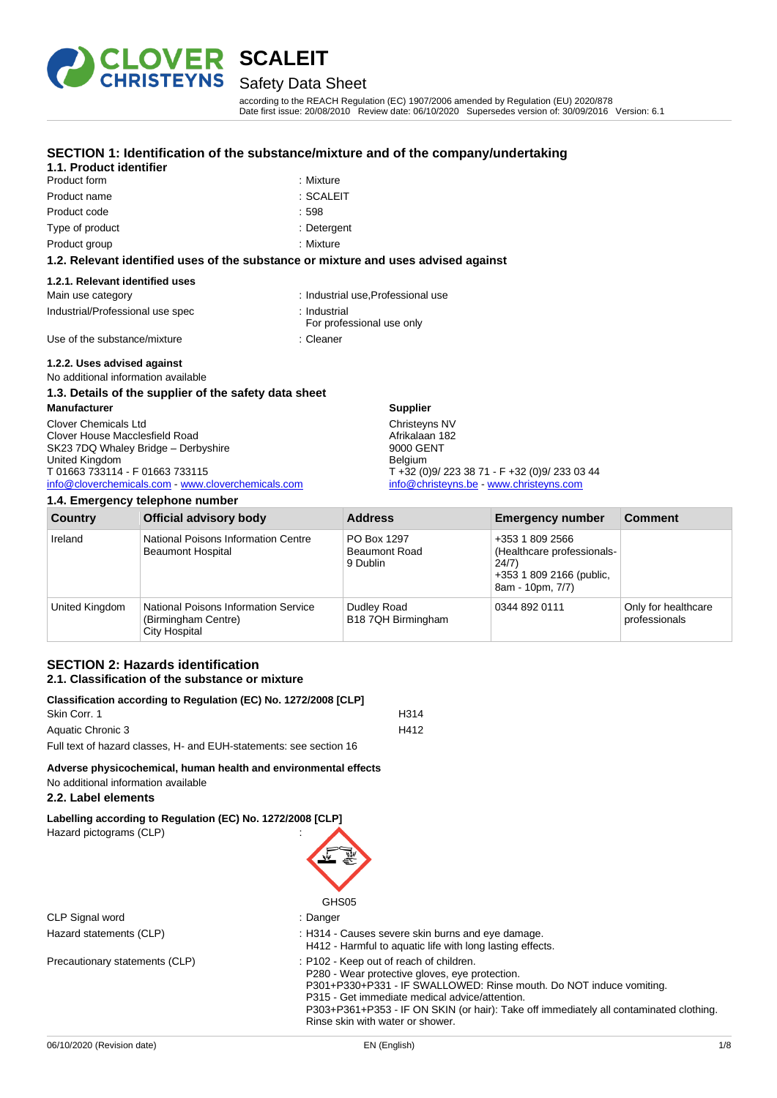

Safety Data Sheet

according to the REACH Regulation (EC) 1907/2006 amended by Regulation (EU) 2020/878 Date first issue: 20/08/2010 Review date: 06/10/2020 Supersedes version of: 30/09/2016 Version: 6.1

### **SECTION 1: Identification of the substance/mixture and of the company/undertaking**

| 1.1. Product identifier |           |
|-------------------------|-----------|
| Product form            | : Mixture |
| Product name            | ∴ SCALEIT |

| Mixture       |
|---------------|
| <b>COMPIT</b> |

Product code : 598

Type of product in the contract of the contract of the contract of the contract of the contract of the contract of the contract of the contract of the contract of the contract of the contract of the contract of the contrac

Product group **: Mixture** 

#### **1.2. Relevant identified uses of the substance or mixture and uses advised against**

#### **1.2.1. Relevant identified uses**

| Main use category                | : Industrial use.Professional use |
|----------------------------------|-----------------------------------|
| Industrial/Professional use spec | : Industrial                      |

For professional use only

Use of the substance/mixture in the substance of the substance in the set of the substance of the substance of the substance of the substance of the substance of the substance of the substance of the substance of the subst

### **1.2.2. Uses advised against**

No additional information available

#### **1.3. Details of the supplier of the safety data sheet**

**Manufacturer** Clover Chemicals Ltd Clover House Macclesfield Road SK23 7DQ Whaley Bridge – Derbyshire United Kingdom T 01663 733114 - F 01663 733115 [info@cloverchemicals.com](mailto:info@cloverchemicals.com) - [www.cloverchemicals.com](http://www.cloverchemicals.com/) **Supplier** Christeyns NV Afrikalaan 182 9000 GENT Belgium T +32 (0)9/ 223 38 71 - F +32 (0)9/ 233 03 44 [info@christeyns.be](mailto:info@christeyns.be) - [www.christeyns.com](http://www.christeyns.com/)

**1.4. Emergency telephone number Country Official advisory body Address Emergency number Comment** Ireland National Poisons Information Centre Beaumont Hospital PO Box 1297 Beaumont Road 9 Dublin +353 1 809 2566 (Healthcare professionals-24/7) +353 1 809 2166 (public, 8am - 10pm, 7/7) United Kingdom | National Poisons Information Service (Birmingham Centre) City Hospital Dudley Road B18 7QH Birmingham 0344 892 0111 Only for healthcare professionals

#### **SECTION 2: Hazards identification 2.1. Classification of the substance or mixture**

| Classification according to Regulation (EC) No. 1272/2008 [CLP]    |                  |  |
|--------------------------------------------------------------------|------------------|--|
| Skin Corr. 1                                                       | H <sub>314</sub> |  |
| Aquatic Chronic 3                                                  | H412             |  |
| Full text of hazard classes, H- and EUH-statements: see section 16 |                  |  |

### **Adverse physicochemical, human health and environmental effects**

No additional information available

#### **2.2. Label elements**

**Labelling according to Regulation (EC) No. 1272/2008 [CLP]**

| Hazard pictograms (CLP)        |                                                                                                                                                                                                                                                                                                                                                  |
|--------------------------------|--------------------------------------------------------------------------------------------------------------------------------------------------------------------------------------------------------------------------------------------------------------------------------------------------------------------------------------------------|
|                                | GHS <sub>05</sub>                                                                                                                                                                                                                                                                                                                                |
| CLP Signal word                | : Danger                                                                                                                                                                                                                                                                                                                                         |
| Hazard statements (CLP)        | : H314 - Causes severe skin burns and eye damage.<br>H412 - Harmful to aquatic life with long lasting effects.                                                                                                                                                                                                                                   |
| Precautionary statements (CLP) | : P102 - Keep out of reach of children.<br>P280 - Wear protective gloves, eve protection.<br>P301+P330+P331 - IF SWALLOWED: Rinse mouth. Do NOT induce vomiting.<br>P315 - Get immediate medical advice/attention.<br>P303+P361+P353 - IF ON SKIN (or hair): Take off immediately all contaminated clothing.<br>Rinse skin with water or shower. |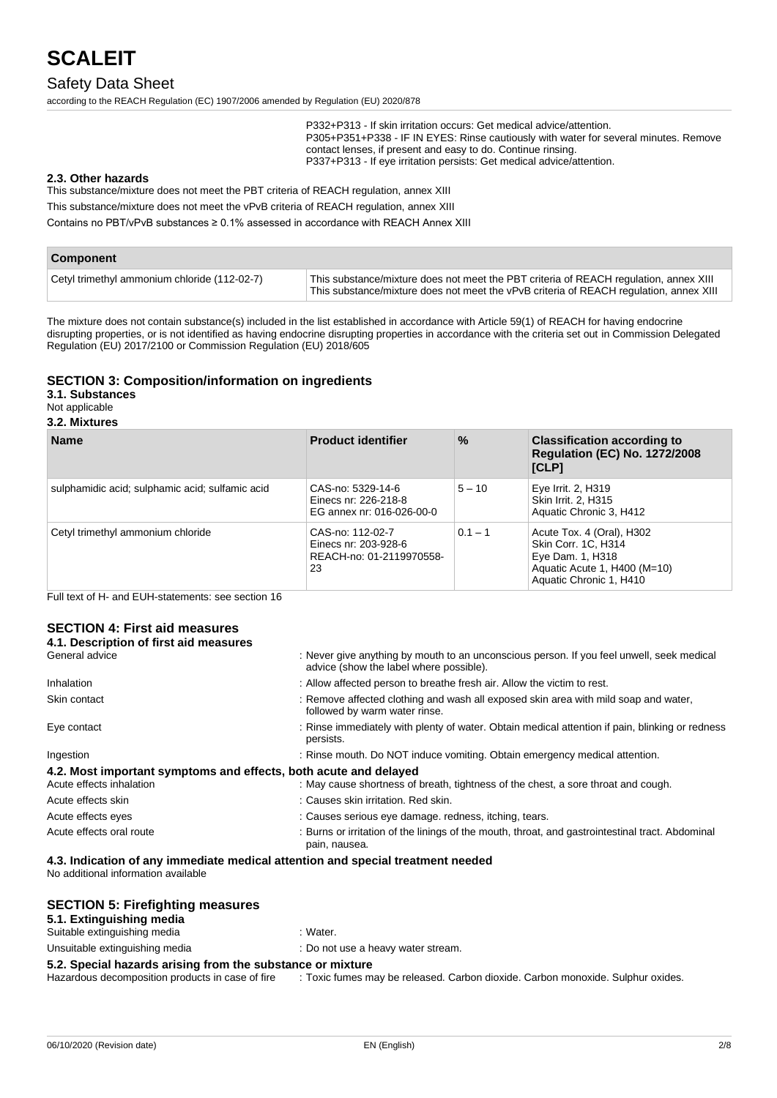### Safety Data Sheet

according to the REACH Regulation (EC) 1907/2006 amended by Regulation (EU) 2020/878

P332+P313 - If skin irritation occurs: Get medical advice/attention. P305+P351+P338 - IF IN EYES: Rinse cautiously with water for several minutes. Remove contact lenses, if present and easy to do. Continue rinsing. P337+P313 - If eye irritation persists: Get medical advice/attention.

#### **2.3. Other hazards**

This substance/mixture does not meet the PBT criteria of REACH regulation, annex XIII

This substance/mixture does not meet the vPvB criteria of REACH regulation, annex XIII

Contains no PBT/vPvB substances ≥ 0.1% assessed in accordance with REACH Annex XIII

| Component                                    |                                                                                                                                                                                 |
|----------------------------------------------|---------------------------------------------------------------------------------------------------------------------------------------------------------------------------------|
| Cetyl trimethyl ammonium chloride (112-02-7) | This substance/mixture does not meet the PBT criteria of REACH regulation, annex XIII<br>This substance/mixture does not meet the vPvB criteria of REACH regulation, annex XIII |

The mixture does not contain substance(s) included in the list established in accordance with Article 59(1) of REACH for having endocrine disrupting properties, or is not identified as having endocrine disrupting properties in accordance with the criteria set out in Commission Delegated Regulation (EU) 2017/2100 or Commission Regulation (EU) 2018/605

#### **SECTION 3: Composition/information on ingredients**

#### **3.1. Substances**

Not applicable

**3.2. Mixtures**

| <b>Name</b>                                     | <b>Product identifier</b>                                                  | $\%$      | <b>Classification according to</b><br><b>Regulation (EC) No. 1272/2008</b><br>[CLP]                                             |
|-------------------------------------------------|----------------------------------------------------------------------------|-----------|---------------------------------------------------------------------------------------------------------------------------------|
| sulphamidic acid; sulphamic acid; sulfamic acid | CAS-no: 5329-14-6<br>Einecs nr: 226-218-8<br>EG annex nr: 016-026-00-0     | $5 - 10$  | Eye Irrit. 2, H319<br>Skin Irrit. 2, H315<br>Aquatic Chronic 3, H412                                                            |
| Cetyl trimethyl ammonium chloride               | CAS-no: 112-02-7<br>Einecs nr: 203-928-6<br>REACH-no: 01-2119970558-<br>23 | $0.1 - 1$ | Acute Tox. 4 (Oral), H302<br>Skin Corr. 1C, H314<br>Eye Dam. 1, H318<br>Aquatic Acute 1, H400 (M=10)<br>Aquatic Chronic 1, H410 |

Full text of H- and EUH-statements: see section 16

#### **SECTION 4: First aid measures 4.1. Description of first aid measures**

| 4. I. Description of thist and measures                          |                                                                                                                                      |
|------------------------------------------------------------------|--------------------------------------------------------------------------------------------------------------------------------------|
| General advice                                                   | : Never give anything by mouth to an unconscious person. If you feel unwell, seek medical<br>advice (show the label where possible). |
| Inhalation                                                       | : Allow affected person to breathe fresh air. Allow the victim to rest.                                                              |
| Skin contact                                                     | : Remove affected clothing and wash all exposed skin area with mild soap and water,<br>followed by warm water rinse.                 |
| Eye contact                                                      | : Rinse immediately with plenty of water. Obtain medical attention if pain, blinking or redness<br>persists.                         |
| Ingestion                                                        | : Rinse mouth. Do NOT induce vomiting. Obtain emergency medical attention.                                                           |
| 4.2. Most important symptoms and effects, both acute and delayed |                                                                                                                                      |
| Acute effects inhalation                                         | : May cause shortness of breath, tightness of the chest, a sore throat and cough.                                                    |
| Acute effects skin                                               | : Causes skin irritation. Red skin.                                                                                                  |
| Acute effects eyes                                               | : Causes serious eye damage. redness, itching, tears.                                                                                |
| Acute effects oral route                                         | : Burns or irritation of the linings of the mouth, throat, and gastrointestinal tract. Abdominal<br>pain, nausea.                    |

#### **4.3. Indication of any immediate medical attention and special treatment needed**

No additional information available

#### **SECTION 5: Firefighting measures**

#### **5.1. Extinguishing media**

| Suitable extinguishing media   | : Water.                           |
|--------------------------------|------------------------------------|
| Unsuitable extinguishing media | : Do not use a heavy water stream. |

**5.2. Special hazards arising from the substance or mixture Hazardous decomposition products in case of fire : Toxic fumes m** : Toxic fumes may be released. Carbon dioxide. Carbon monoxide. Sulphur oxides.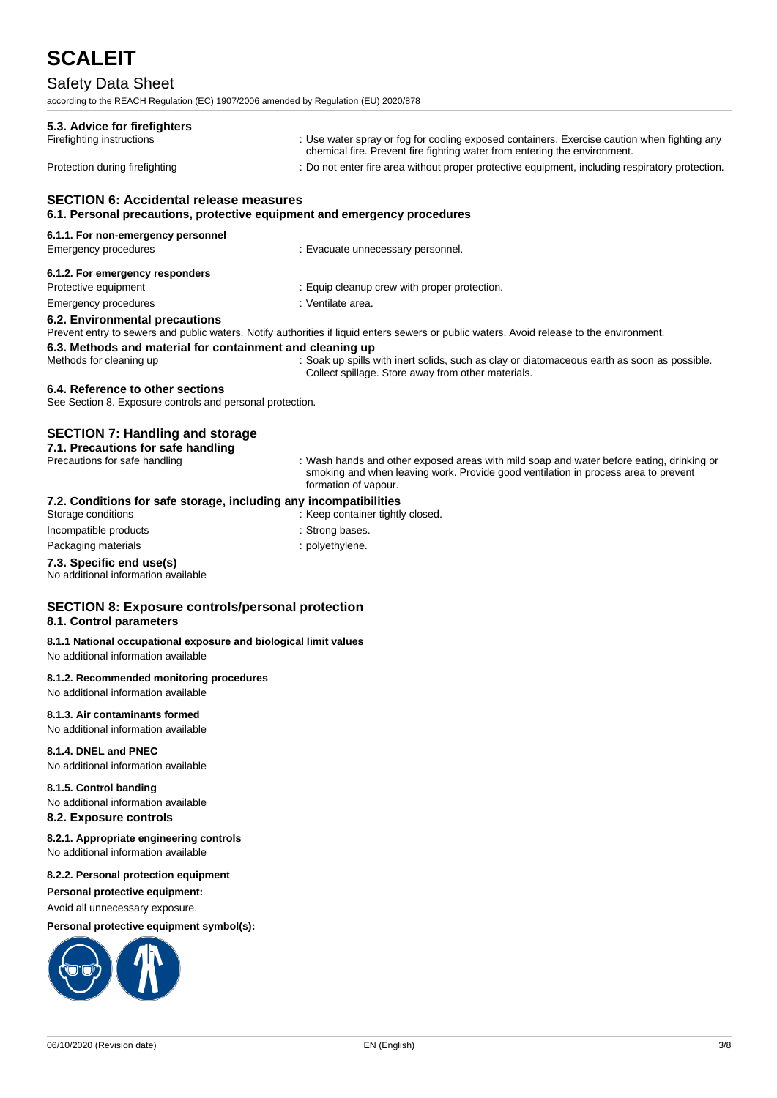# Safety Data Sheet

| according to the REACH Regulation (EC) 1907/2006 amended by Regulation (EU) 2020/878                                      |                                                                                                                                                                                                        |
|---------------------------------------------------------------------------------------------------------------------------|--------------------------------------------------------------------------------------------------------------------------------------------------------------------------------------------------------|
| 5.3. Advice for firefighters                                                                                              |                                                                                                                                                                                                        |
| Firefighting instructions                                                                                                 | : Use water spray or fog for cooling exposed containers. Exercise caution when fighting any<br>chemical fire. Prevent fire fighting water from entering the environment.                               |
| Protection during firefighting                                                                                            | : Do not enter fire area without proper protective equipment, including respiratory protection.                                                                                                        |
| <b>SECTION 6: Accidental release measures</b><br>6.1. Personal precautions, protective equipment and emergency procedures |                                                                                                                                                                                                        |
| 6.1.1. For non-emergency personnel                                                                                        |                                                                                                                                                                                                        |
| Emergency procedures                                                                                                      | : Evacuate unnecessary personnel.                                                                                                                                                                      |
| 6.1.2. For emergency responders                                                                                           |                                                                                                                                                                                                        |
| Protective equipment                                                                                                      | : Equip cleanup crew with proper protection.                                                                                                                                                           |
| Emergency procedures                                                                                                      | : Ventilate area.                                                                                                                                                                                      |
| 6.2. Environmental precautions                                                                                            | Prevent entry to sewers and public waters. Notify authorities if liquid enters sewers or public waters. Avoid release to the environment.                                                              |
| 6.3. Methods and material for containment and cleaning up                                                                 |                                                                                                                                                                                                        |
| Methods for cleaning up                                                                                                   | : Soak up spills with inert solids, such as clay or diatomaceous earth as soon as possible.<br>Collect spillage. Store away from other materials.                                                      |
| 6.4. Reference to other sections<br>See Section 8. Exposure controls and personal protection.                             |                                                                                                                                                                                                        |
| <b>SECTION 7: Handling and storage</b>                                                                                    |                                                                                                                                                                                                        |
| 7.1. Precautions for safe handling                                                                                        |                                                                                                                                                                                                        |
| Precautions for safe handling                                                                                             | : Wash hands and other exposed areas with mild soap and water before eating, drinking or<br>smoking and when leaving work. Provide good ventilation in process area to prevent<br>formation of vapour. |
| 7.2. Conditions for safe storage, including any incompatibilities<br>Storage conditions                                   | : Keep container tightly closed.                                                                                                                                                                       |
| Incompatible products                                                                                                     | : Strong bases.                                                                                                                                                                                        |
| Packaging materials                                                                                                       | : polyethylene.                                                                                                                                                                                        |
| 7.3. Specific end use(s)<br>No additional information available                                                           |                                                                                                                                                                                                        |
| <b>SECTION 8: Exposure controls/personal protection</b><br>8.1. Control parameters                                        |                                                                                                                                                                                                        |
| 8.1.1 National occupational exposure and biological limit values<br>No additional information available                   |                                                                                                                                                                                                        |
| 8.1.2. Recommended monitoring procedures<br>No additional information available                                           |                                                                                                                                                                                                        |
| 8.1.3. Air contaminants formed<br>No additional information available                                                     |                                                                                                                                                                                                        |
| 8.1.4. DNEL and PNEC<br>No additional information available                                                               |                                                                                                                                                                                                        |
| 8.1.5. Control banding<br>No additional information available<br>8.2. Exposure controls                                   |                                                                                                                                                                                                        |
| 8.2.1. Appropriate engineering controls<br>No additional information available                                            |                                                                                                                                                                                                        |
| 8.2.2. Personal protection equipment<br>Personal protective equipment:<br>Avoid all unnecessary exposure.                 |                                                                                                                                                                                                        |

### **Personal protective equipment symbol(s):**

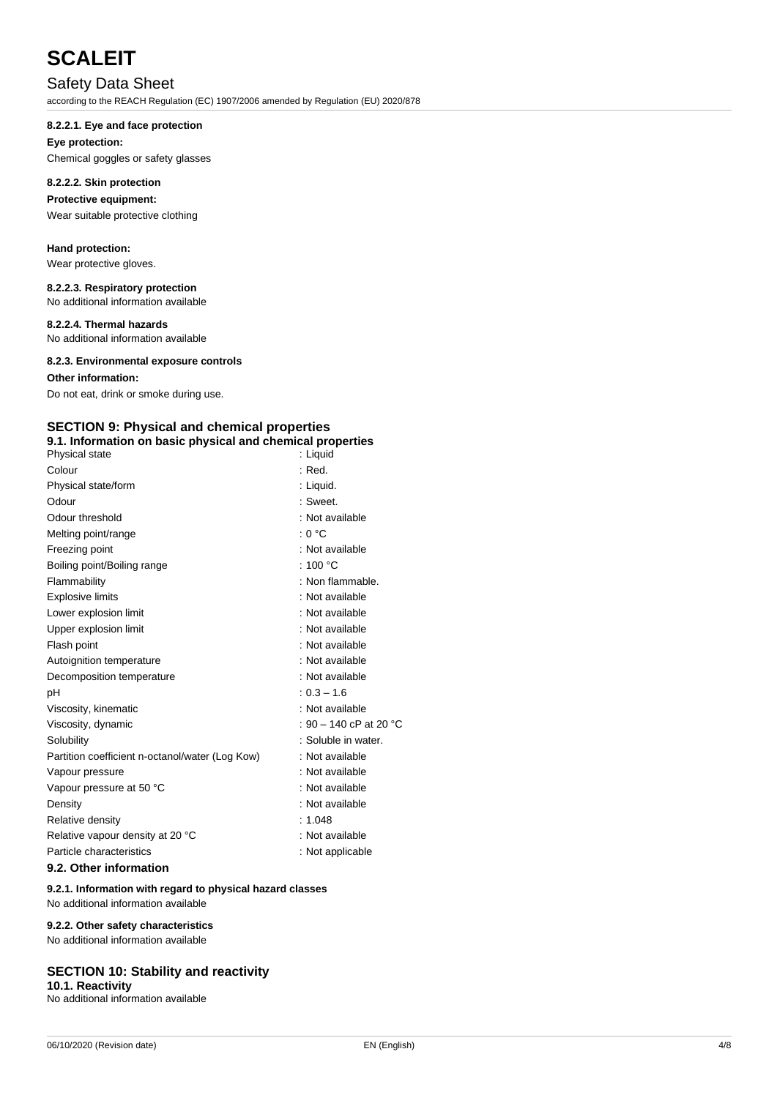## Safety Data Sheet

according to the REACH Regulation (EC) 1907/2006 amended by Regulation (EU) 2020/878

#### **8.2.2.1. Eye and face protection**

## **Eye protection:**

Chemical goggles or safety glasses

### **8.2.2.2. Skin protection**

### **Protective equipment:**

Wear suitable protective clothing

#### **Hand protection:**

Wear protective gloves.

#### **8.2.2.3. Respiratory protection**

No additional information available

#### **8.2.2.4. Thermal hazards**

No additional information available

#### **8.2.3. Environmental exposure controls**

#### **Other information:**

Do not eat, drink or smoke during use.

### **SECTION 9: Physical and chemical properties**

| 9.1. Information on basic physical and chemical properties |  |  |  |
|------------------------------------------------------------|--|--|--|
|------------------------------------------------------------|--|--|--|

| Physical state                                  | : Liquid               |
|-------------------------------------------------|------------------------|
| Colour                                          | : Red.                 |
| Physical state/form                             | : Liquid.              |
| Odour                                           | : Sweet.               |
| Odour threshold                                 | : Not available        |
| Melting point/range                             | : 0 °C                 |
| Freezing point                                  | : Not available        |
| Boiling point/Boiling range                     | : 100 $\degree$ C      |
| Flammability                                    | : Non flammable.       |
| <b>Explosive limits</b>                         | : Not available        |
| Lower explosion limit                           | : Not available        |
| Upper explosion limit                           | : Not available        |
| Flash point                                     | : Not available        |
| Autoignition temperature                        | : Not available        |
| Decomposition temperature                       | : Not available        |
| рH                                              | $: 0.3 - 1.6$          |
| Viscosity, kinematic                            | : Not available        |
| Viscosity, dynamic                              | : 90 – 140 cP at 20 °C |
| Solubility                                      | : Soluble in water.    |
| Partition coefficient n-octanol/water (Log Kow) | : Not available        |
| Vapour pressure                                 | : Not available        |
| Vapour pressure at 50 °C                        | : Not available        |
| Density                                         | : Not available        |
| Relative density                                | : 1.048                |
| Relative vapour density at 20 °C                | : Not available        |
| Particle characteristics                        | : Not applicable       |

#### **9.2. Other information**

#### **9.2.1. Information with regard to physical hazard classes**

No additional information available

#### **9.2.2. Other safety characteristics**

No additional information available

#### **SECTION 10: Stability and reactivity**

#### **10.1. Reactivity**

No additional information available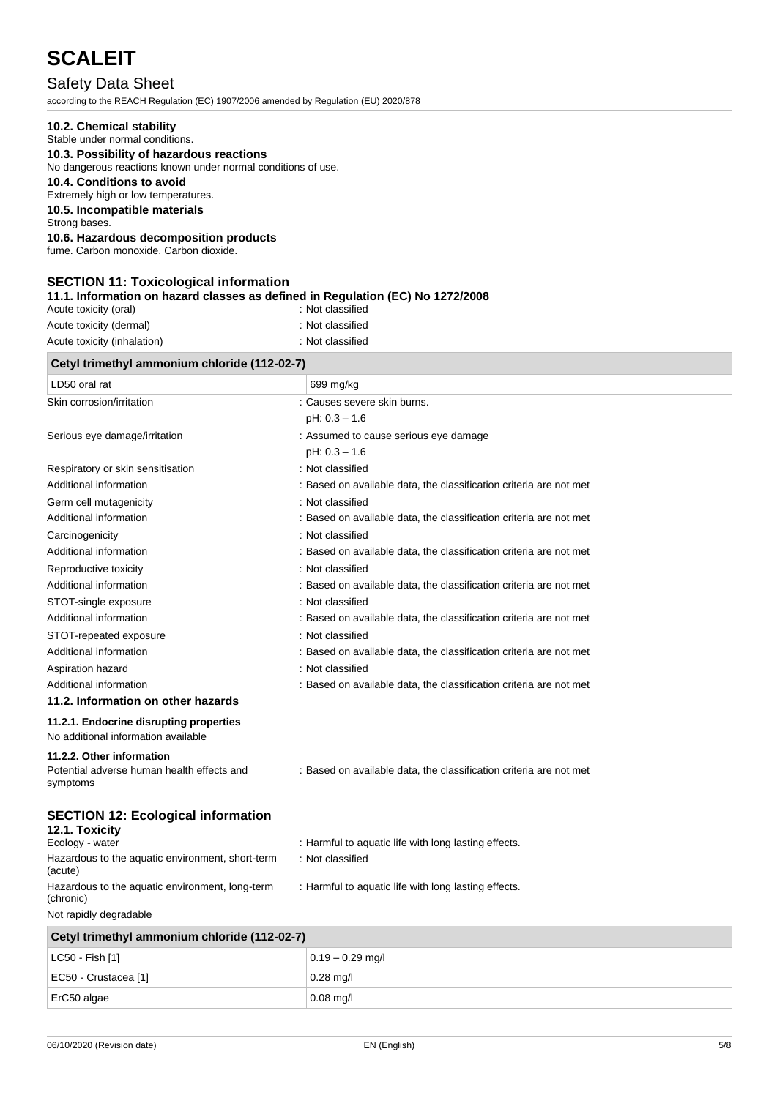# Safety Data Sheet

according to the REACH Regulation (EC) 1907/2006 amended by Regulation (EU) 2020/878

| 10.2. Chemical stability                                                                                                                    |                                                                                        |  |  |
|---------------------------------------------------------------------------------------------------------------------------------------------|----------------------------------------------------------------------------------------|--|--|
| Stable under normal conditions.<br>10.3. Possibility of hazardous reactions<br>No dangerous reactions known under normal conditions of use. |                                                                                        |  |  |
|                                                                                                                                             |                                                                                        |  |  |
| 10.5. Incompatible materials                                                                                                                |                                                                                        |  |  |
| Strong bases.<br>10.6. Hazardous decomposition products                                                                                     |                                                                                        |  |  |
| fume. Carbon monoxide. Carbon dioxide.                                                                                                      |                                                                                        |  |  |
|                                                                                                                                             |                                                                                        |  |  |
| <b>SECTION 11: Toxicological information</b><br>11.1. Information on hazard classes as defined in Regulation (EC) No 1272/2008              |                                                                                        |  |  |
| Acute toxicity (oral)                                                                                                                       | : Not classified                                                                       |  |  |
| Acute toxicity (dermal)                                                                                                                     | : Not classified                                                                       |  |  |
| Acute toxicity (inhalation)                                                                                                                 | : Not classified                                                                       |  |  |
| Cetyl trimethyl ammonium chloride (112-02-7)                                                                                                |                                                                                        |  |  |
| LD50 oral rat                                                                                                                               | 699 mg/kg                                                                              |  |  |
| Skin corrosion/irritation                                                                                                                   | : Causes severe skin burns.                                                            |  |  |
|                                                                                                                                             | $pH: 0.3 - 1.6$                                                                        |  |  |
| Serious eye damage/irritation                                                                                                               | : Assumed to cause serious eye damage                                                  |  |  |
|                                                                                                                                             | $pH: 0.3 - 1.6$                                                                        |  |  |
| Respiratory or skin sensitisation<br>Additional information                                                                                 | : Not classified<br>: Based on available data, the classification criteria are not met |  |  |
| Germ cell mutagenicity                                                                                                                      | : Not classified                                                                       |  |  |
| Additional information                                                                                                                      | : Based on available data, the classification criteria are not met                     |  |  |
| Carcinogenicity                                                                                                                             | : Not classified                                                                       |  |  |
| Additional information                                                                                                                      | : Based on available data, the classification criteria are not met                     |  |  |
| Reproductive toxicity                                                                                                                       | : Not classified                                                                       |  |  |
| Additional information                                                                                                                      | : Based on available data, the classification criteria are not met                     |  |  |
| STOT-single exposure                                                                                                                        | : Not classified                                                                       |  |  |
| Additional information                                                                                                                      | : Based on available data, the classification criteria are not met                     |  |  |
| STOT-repeated exposure                                                                                                                      | : Not classified                                                                       |  |  |
| Additional information                                                                                                                      | : Based on available data, the classification criteria are not met                     |  |  |
| Aspiration hazard<br>Additional information                                                                                                 | : Not classified<br>: Based on available data, the classification criteria are not met |  |  |
| 11.2. Information on other hazards                                                                                                          |                                                                                        |  |  |
| 11.2.1. Endocrine disrupting properties                                                                                                     |                                                                                        |  |  |
| No additional information available                                                                                                         |                                                                                        |  |  |
| 11.2.2. Other information                                                                                                                   |                                                                                        |  |  |
| Potential adverse human health effects and<br>symptoms                                                                                      | : Based on available data, the classification criteria are not met                     |  |  |
| <b>SECTION 12: Ecological information</b><br>12.1. Toxicity                                                                                 |                                                                                        |  |  |
| Ecology - water                                                                                                                             | : Harmful to aquatic life with long lasting effects.                                   |  |  |
| Hazardous to the aquatic environment, short-term<br>(acute)                                                                                 | : Not classified                                                                       |  |  |
| Hazardous to the aquatic environment, long-term<br>(chronic)<br>Not rapidly degradable                                                      | : Harmful to aquatic life with long lasting effects.                                   |  |  |
| Cetyl trimethyl ammonium chloride (112-02-7)                                                                                                |                                                                                        |  |  |
| LC50 - Fish [1]                                                                                                                             | $0.19 - 0.29$ mg/l                                                                     |  |  |
| EC50 - Crustacea [1]                                                                                                                        | $0.28$ mg/l                                                                            |  |  |

ErC50 algae 0.08 mg/l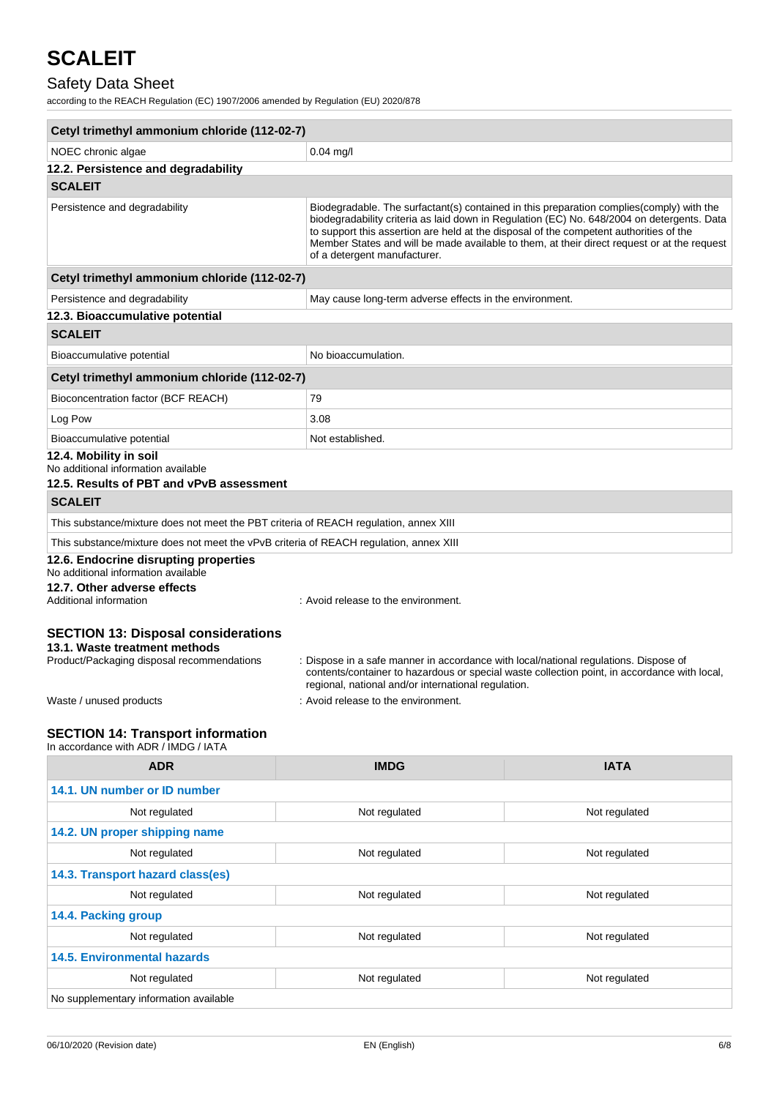# Safety Data Sheet

according to the REACH Regulation (EC) 1907/2006 amended by Regulation (EU) 2020/878

| Cetyl trimethyl ammonium chloride (112-02-7)                                                                              |                                                                                                                                             |                                                                                                                                                                                                                                                                                       |
|---------------------------------------------------------------------------------------------------------------------------|---------------------------------------------------------------------------------------------------------------------------------------------|---------------------------------------------------------------------------------------------------------------------------------------------------------------------------------------------------------------------------------------------------------------------------------------|
| NOEC chronic algae                                                                                                        | $0.04$ mg/l                                                                                                                                 |                                                                                                                                                                                                                                                                                       |
| 12.2. Persistence and degradability                                                                                       |                                                                                                                                             |                                                                                                                                                                                                                                                                                       |
| <b>SCALEIT</b>                                                                                                            |                                                                                                                                             |                                                                                                                                                                                                                                                                                       |
| Persistence and degradability                                                                                             | to support this assertion are held at the disposal of the competent authorities of the<br>of a detergent manufacturer.                      | Biodegradable. The surfactant(s) contained in this preparation complies(comply) with the<br>biodegradability criteria as laid down in Regulation (EC) No. 648/2004 on detergents. Data<br>Member States and will be made available to them, at their direct request or at the request |
| Cetyl trimethyl ammonium chloride (112-02-7)                                                                              |                                                                                                                                             |                                                                                                                                                                                                                                                                                       |
| Persistence and degradability                                                                                             | May cause long-term adverse effects in the environment.                                                                                     |                                                                                                                                                                                                                                                                                       |
| 12.3. Bioaccumulative potential                                                                                           |                                                                                                                                             |                                                                                                                                                                                                                                                                                       |
| <b>SCALEIT</b>                                                                                                            |                                                                                                                                             |                                                                                                                                                                                                                                                                                       |
| Bioaccumulative potential                                                                                                 | No bioaccumulation.                                                                                                                         |                                                                                                                                                                                                                                                                                       |
| Cetyl trimethyl ammonium chloride (112-02-7)                                                                              |                                                                                                                                             |                                                                                                                                                                                                                                                                                       |
| Bioconcentration factor (BCF REACH)                                                                                       | 79                                                                                                                                          |                                                                                                                                                                                                                                                                                       |
| Log Pow                                                                                                                   | 3.08                                                                                                                                        |                                                                                                                                                                                                                                                                                       |
| Bioaccumulative potential                                                                                                 | Not established.                                                                                                                            |                                                                                                                                                                                                                                                                                       |
| 12.4. Mobility in soil<br>No additional information available<br>12.5. Results of PBT and vPvB assessment                 |                                                                                                                                             |                                                                                                                                                                                                                                                                                       |
| <b>SCALEIT</b>                                                                                                            |                                                                                                                                             |                                                                                                                                                                                                                                                                                       |
| This substance/mixture does not meet the PBT criteria of REACH regulation, annex XIII                                     |                                                                                                                                             |                                                                                                                                                                                                                                                                                       |
| This substance/mixture does not meet the vPvB criteria of REACH regulation, annex XIII                                    |                                                                                                                                             |                                                                                                                                                                                                                                                                                       |
| 12.6. Endocrine disrupting properties<br>No additional information available                                              |                                                                                                                                             |                                                                                                                                                                                                                                                                                       |
| 12.7. Other adverse effects<br>Additional information                                                                     | : Avoid release to the environment.                                                                                                         |                                                                                                                                                                                                                                                                                       |
| <b>SECTION 13: Disposal considerations</b><br>13.1. Waste treatment methods<br>Product/Packaging disposal recommendations | : Dispose in a safe manner in accordance with local/national regulations. Dispose of<br>regional, national and/or international regulation. | contents/container to hazardous or special waste collection point, in accordance with local,                                                                                                                                                                                          |
| Waste / unused products                                                                                                   | : Avoid release to the environment.                                                                                                         |                                                                                                                                                                                                                                                                                       |
| <b>SECTION 14: Transport information</b><br>In accordance with ADR / IMDG / IATA                                          |                                                                                                                                             |                                                                                                                                                                                                                                                                                       |
| <b>ADR</b>                                                                                                                | <b>IMDG</b>                                                                                                                                 | <b>IATA</b>                                                                                                                                                                                                                                                                           |
| 14.1. UN number or ID number                                                                                              |                                                                                                                                             |                                                                                                                                                                                                                                                                                       |

| 14.1. UN number or ID number                    |               |               |
|-------------------------------------------------|---------------|---------------|
| Not regulated                                   | Not regulated | Not regulated |
| 14.2. UN proper shipping name                   |               |               |
| Not regulated<br>Not regulated<br>Not regulated |               |               |
| 14.3. Transport hazard class(es)                |               |               |
| Not regulated                                   | Not regulated | Not regulated |
| 14.4. Packing group                             |               |               |
| Not regulated                                   | Not regulated | Not regulated |
| <b>14.5. Environmental hazards</b>              |               |               |
| Not regulated                                   | Not regulated | Not regulated |
| No supplementary information available          |               |               |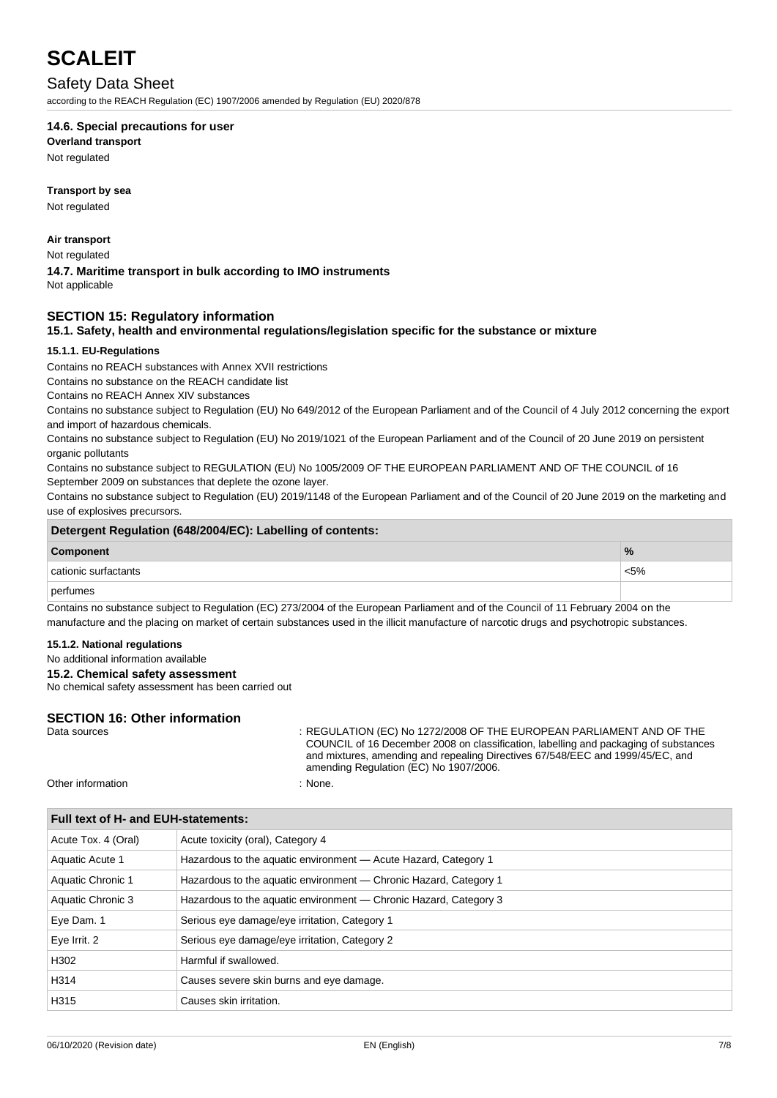### Safety Data Sheet

according to the REACH Regulation (EC) 1907/2006 amended by Regulation (EU) 2020/878

#### **14.6. Special precautions for user**

**Overland transport**

Not regulated

#### **Transport by sea**

Not regulated

#### **Air transport**

Not regulated

## **14.7. Maritime transport in bulk according to IMO instruments**

Not applicable

#### **SECTION 15: Regulatory information**

#### **15.1. Safety, health and environmental regulations/legislation specific for the substance or mixture**

#### **15.1.1. EU-Regulations**

Contains no REACH substances with Annex XVII restrictions

Contains no substance on the REACH candidate list

Contains no REACH Annex XIV substances

Contains no substance subject to Regulation (EU) No 649/2012 of the European Parliament and of the Council of 4 July 2012 concerning the export and import of hazardous chemicals.

Contains no substance subject to Regulation (EU) No 2019/1021 of the European Parliament and of the Council of 20 June 2019 on persistent organic pollutants

Contains no substance subject to REGULATION (EU) No 1005/2009 OF THE EUROPEAN PARLIAMENT AND OF THE COUNCIL of 16 September 2009 on substances that deplete the ozone layer.

Contains no substance subject to Regulation (EU) 2019/1148 of the European Parliament and of the Council of 20 June 2019 on the marketing and use of explosives precursors.

| Detergent Regulation (648/2004/EC): Labelling of contents: |               |  |
|------------------------------------------------------------|---------------|--|
| Component                                                  | $\frac{9}{6}$ |  |
| ⊥cationic surfactants                                      | $< 5\%$       |  |
| $n$ $\alpha$ rfumoo                                        |               |  |

#### perfumes

Contains no substance subject to Regulation (EC) 273/2004 of the European Parliament and of the Council of 11 February 2004 on the manufacture and the placing on market of certain substances used in the illicit manufacture of narcotic drugs and psychotropic substances.

#### **15.1.2. National regulations**

#### No additional information available

#### **15.2. Chemical safety assessment**

No chemical safety assessment has been carried out

#### **SECTION 16: Other information**

Data sources : REGULATION (EC) No 1272/2008 OF THE EUROPEAN PARLIAMENT AND OF THE COUNCIL of 16 December 2008 on classification, labelling and packaging of substances and mixtures, amending and repealing Directives 67/548/EEC and 1999/45/EC, and amending Regulation (EC) No 1907/2006.

Other information : None.

| Full text of H- and EUH-statements: |                                                                   |  |
|-------------------------------------|-------------------------------------------------------------------|--|
| Acute Tox. 4 (Oral)                 | Acute toxicity (oral), Category 4                                 |  |
| Aquatic Acute 1                     | Hazardous to the aquatic environment - Acute Hazard, Category 1   |  |
| Aquatic Chronic 1                   | Hazardous to the aquatic environment — Chronic Hazard, Category 1 |  |
| Aquatic Chronic 3                   | Hazardous to the aquatic environment - Chronic Hazard, Category 3 |  |
| Eye Dam. 1                          | Serious eye damage/eye irritation, Category 1                     |  |
| Eye Irrit. 2                        | Serious eye damage/eye irritation, Category 2                     |  |
| H302                                | Harmful if swallowed.                                             |  |
| H314                                | Causes severe skin burns and eye damage.                          |  |
| H315                                | Causes skin irritation.                                           |  |